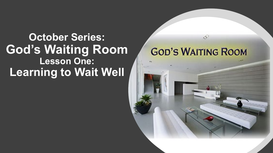#### **October Series: God's Waiting Room Lesson One: Learning to Wait Well**



X.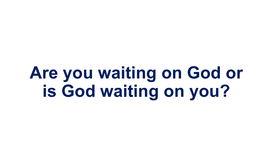# **Are you waiting on God or is God waiting on you?**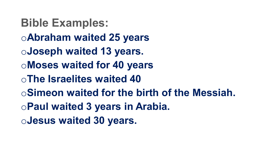**Bible Examples:** o**Abraham waited 25 years**  o**Joseph waited 13 years.**  o**Moses waited for 40 years**  o**The Israelites waited 40** o**Simeon waited for the birth of the Messiah.**  o**Paul waited 3 years in Arabia.**  o**Jesus waited 30 years.**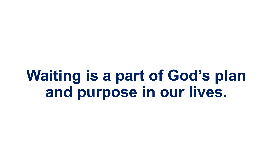**Waiting is a part of God's plan and purpose in our lives.**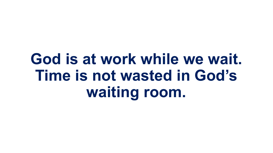# **God is at work while we wait. Time is not wasted in God's waiting room.**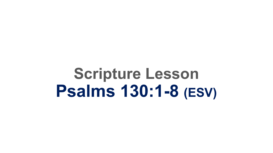**Scripture Lesson Psalms 130:1-8 (ESV)**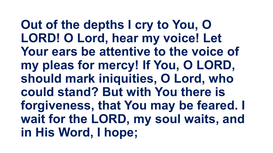**Out of the depths I cry to You, O LORD! O Lord, hear my voice! Let Your ears be attentive to the voice of my pleas for mercy! If You, O LORD, should mark iniquities, O Lord, who could stand? But with You there is forgiveness, that You may be feared. I wait for the LORD, my soul waits, and in His Word, I hope;**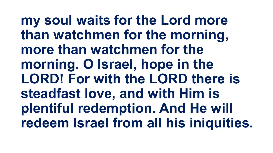**my soul waits for the Lord more than watchmen for the morning, more than watchmen for the morning. O Israel, hope in the LORD! For with the LORD there is steadfast love, and with Him is plentiful redemption. And He will redeem Israel from all his iniquities.**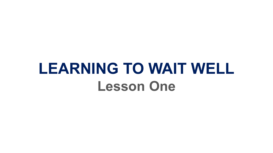# **LEARNING TO WAIT WELL Lesson One**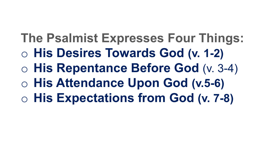**The Psalmist Expresses Four Things:** o **His Desires Towards God (v. 1-2)** o **His Repentance Before God** (v. 3-4) o **His Attendance Upon God (v.5-6)** o **His Expectations from God (v. 7-8)**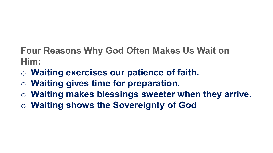#### **Four Reasons Why God Often Makes Us Wait on Him:**

- o **Waiting exercises our patience of faith.**
- o **Waiting gives time for preparation.**
- o **Waiting makes blessings sweeter when they arrive.**
- o **Waiting shows the Sovereignty of God**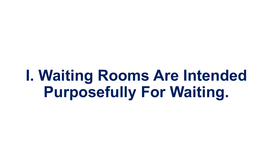**I. Waiting Rooms Are Intended Purposefully For Waiting.**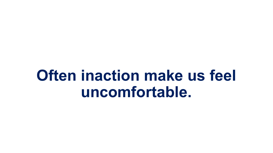# **Often inaction make us feel uncomfortable.**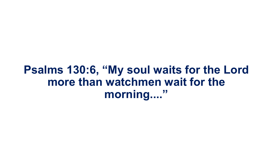#### **Psalms 130:6, "My soul waits for the Lord more than watchmen wait for the morning...."**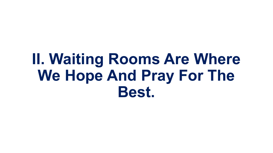# **II. Waiting Rooms Are Where We Hope And Pray For The Best.**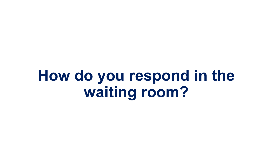**How do you respond in the waiting room?**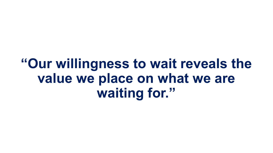## **"Our willingness to wait reveals the value we place on what we are waiting for."**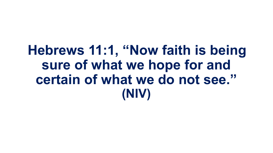## **Hebrews 11:1, "Now faith is being sure of what we hope for and certain of what we do not see." (NIV)**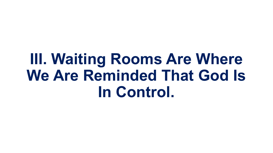# **III. Waiting Rooms Are Where We Are Reminded That God Is In Control.**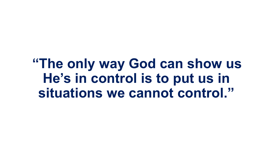**"The only way God can show us He's in control is to put us in situations we cannot control."**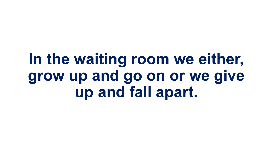# **In the waiting room we either, grow up and go on or we give up and fall apart.**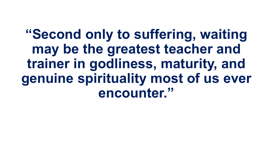**"Second only to suffering, waiting may be the greatest teacher and trainer in godliness, maturity, and genuine spirituality most of us ever encounter."**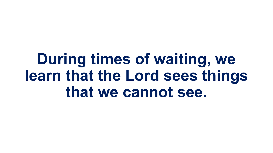**During times of waiting, we learn that the Lord sees things that we cannot see.**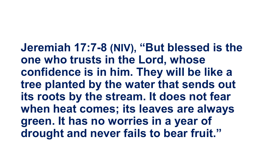**Jeremiah 17:7-8 (NIV), "But blessed is the one who trusts in the Lord, whose confidence is in him. They will be like a tree planted by the water that sends out its roots by the stream. It does not fear when heat comes; its leaves are always green. It has no worries in a year of drought and never fails to bear fruit."**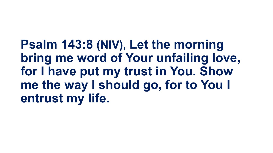**Psalm 143:8 (NIV), Let the morning bring me word of Your unfailing love, for I have put my trust in You. Show me the way I should go, for to You I entrust my life.**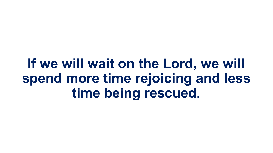## **If we will wait on the Lord, we will spend more time rejoicing and less time being rescued.**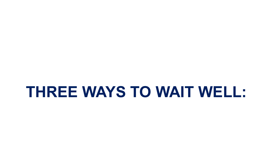### **THREE WAYS TO WAIT WELL:**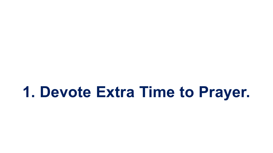**1. Devote Extra Time to Prayer.**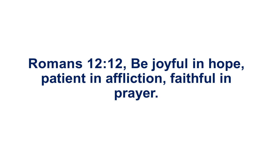## **Romans 12:12, Be joyful in hope, patient in affliction, faithful in prayer.**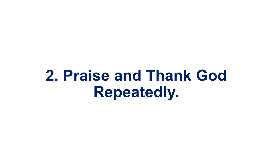**2. Praise and Thank God Repeatedly.**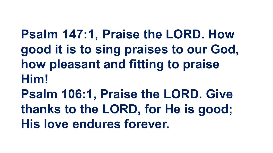**Psalm 147:1, Praise the LORD. How good it is to sing praises to our God, how pleasant and fitting to praise Him! Psalm 106:1, Praise the LORD. Give thanks to the LORD, for He is good;** 

**His love endures forever.**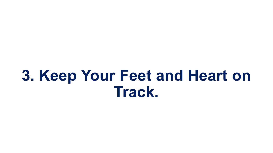# **3. Keep Your Feet and Heart on Track.**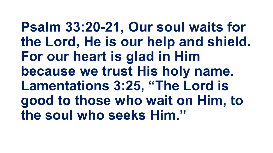**Psalm 33:20-21, Our soul waits for the Lord, He is our help and shield. For our heart is glad in Him because we trust His holy name. Lamentations 3:25, "The Lord is good to those who wait on Him, to the soul who seeks Him."**